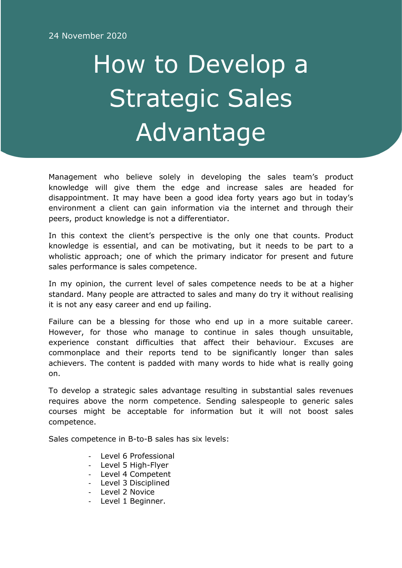## How to Develop a Strategic Sales Advantage

Management who believe solely in developing the sales team's product knowledge will give them the edge and increase sales are headed for disappointment. It may have been a good idea forty years ago but in today's environment a client can gain information via the internet and through their peers, product knowledge is not a differentiator.

In this context the client's perspective is the only one that counts. Product knowledge is essential, and can be motivating, but it needs to be part to a wholistic approach; one of which the primary indicator for present and future sales performance is sales competence.

In my opinion, the current level of sales competence needs to be at a higher standard. Many people are attracted to sales and many do try it without realising it is not any easy career and end up failing.

Failure can be a blessing for those who end up in a more suitable career. However, for those who manage to continue in sales though unsuitable, experience constant difficulties that affect their behaviour. Excuses are commonplace and their reports tend to be significantly longer than sales achievers. The content is padded with many words to hide what is really going on.

To develop a strategic sales advantage resulting in substantial sales revenues requires above the norm competence. Sending salespeople to generic sales courses might be acceptable for information but it will not boost sales competence.

Sales competence in B-to-B sales has six levels:

- Level 6 Professional
- Level 5 High-Flyer
- Level 4 Competent
- Level 3 Disciplined
- Level 2 Novice
- Level 1 Beginner.